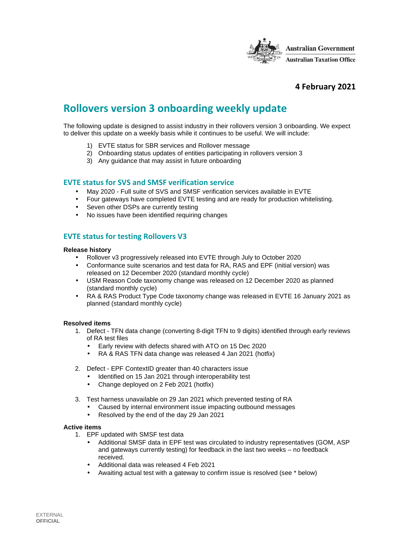

# **4 February 2021**

# **Rollovers version 3 onboarding weekly update**

The following update is designed to assist industry in their rollovers version 3 onboarding. We expect to deliver this update on a weekly basis while it continues to be useful. We will include:

- 1) EVTE status for SBR services and Rollover message
- 2) Onboarding status updates of entities participating in rollovers version 3
- 3) Any guidance that may assist in future onboarding

### **EVTE status for SVS and SMSF verification service**

- May 2020 Full suite of SVS and SMSF verification services available in EVTE
- Four gateways have completed EVTE testing and are ready for production whitelisting.
- Seven other DSPs are currently testing
- No issues have been identified requiring changes

## **EVTE status for testing Rollovers V3**

#### **Release history**

- Rollover v3 progressively released into EVTE through July to October 2020
- Conformance suite scenarios and test data for RA, RAS and EPF (initial version) was released on 12 December 2020 (standard monthly cycle)
- USM Reason Code taxonomy change was released on 12 December 2020 as planned (standard monthly cycle)
- RA & RAS Product Type Code taxonomy change was released in EVTE 16 January 2021 as planned (standard monthly cycle)

#### **Resolved items**

- 1. Defect TFN data change (converting 8-digit TFN to 9 digits) identified through early reviews of RA test files
	- Early review with defects shared with ATO on 15 Dec 2020
	- RA & RAS TFN data change was released 4 Jan 2021 (hotfix)
- 2. Defect EPF ContextID greater than 40 characters issue
	- Identified on 15 Jan 2021 through interoperability test
	- Change deployed on 2 Feb 2021 (hotfix)
- 3. Test harness unavailable on 29 Jan 2021 which prevented testing of RA
	- Caused by internal environment issue impacting outbound messages
	- Resolved by the end of the day 29 Jan 2021

#### **Active items**

- 1. EPF updated with SMSF test data
	- Additional SMSF data in EPF test was circulated to industry representatives (GOM, ASP and gateways currently testing) for feedback in the last two weeks – no feedback received.
	- Additional data was released 4 Feb 2021
	- Awaiting actual test with a gateway to confirm issue is resolved (see \* below)